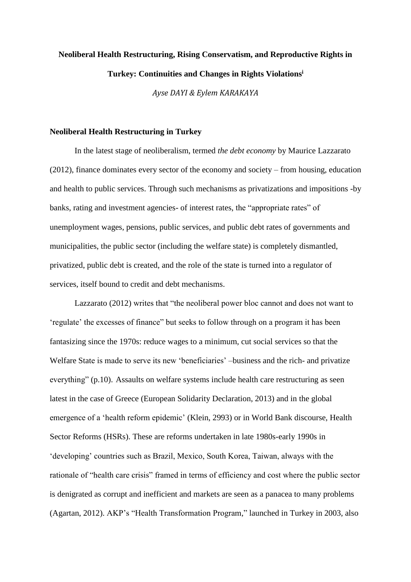# **Neoliberal Health Restructuring, Rising Conservatism, and Reproductive Rights in Turkey: Continuities and Changes in Rights Violations<sup>i</sup>**

*Ayse DAYI & Eylem KARAKAYA*

#### **Neoliberal Health Restructuring in Turkey**

In the latest stage of neoliberalism, termed *the debt economy* by Maurice Lazzarato (2012), finance dominates every sector of the economy and society – from housing, education and health to public services. Through such mechanisms as privatizations and impositions -by banks, rating and investment agencies- of interest rates, the "appropriate rates" of unemployment wages, pensions, public services, and public debt rates of governments and municipalities, the public sector (including the welfare state) is completely dismantled, privatized, public debt is created, and the role of the state is turned into a regulator of services, itself bound to credit and debt mechanisms.

Lazzarato (2012) writes that "the neoliberal power bloc cannot and does not want to 'regulate' the excesses of finance" but seeks to follow through on a program it has been fantasizing since the 1970s: reduce wages to a minimum, cut social services so that the Welfare State is made to serve its new 'beneficiaries' –business and the rich- and privatize everything" (p.10). Assaults on welfare systems include health care restructuring as seen latest in the case of Greece (European Solidarity Declaration, 2013) and in the global emergence of a 'health reform epidemic' (Klein, 2993) or in World Bank discourse, Health Sector Reforms (HSRs). These are reforms undertaken in late 1980s-early 1990s in 'developing' countries such as Brazil, Mexico, South Korea, Taiwan, always with the rationale of "health care crisis" framed in terms of efficiency and cost where the public sector is denigrated as corrupt and inefficient and markets are seen as a panacea to many problems (Agartan, 2012). AKP's "Health Transformation Program," launched in Turkey in 2003, also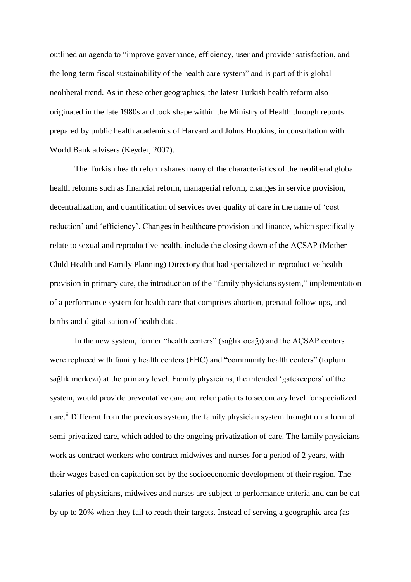outlined an agenda to "improve governance, efficiency, user and provider satisfaction, and the long-term fiscal sustainability of the health care system" and is part of this global neoliberal trend. As in these other geographies, the latest Turkish health reform also originated in the late 1980s and took shape within the Ministry of Health through reports prepared by public health academics of Harvard and Johns Hopkins, in consultation with World Bank advisers (Keyder, 2007).

The Turkish health reform shares many of the characteristics of the neoliberal global health reforms such as financial reform, managerial reform, changes in service provision, decentralization, and quantification of services over quality of care in the name of 'cost reduction' and 'efficiency'. Changes in healthcare provision and finance, which specifically relate to sexual and reproductive health, include the closing down of the AÇSAP (Mother-Child Health and Family Planning) Directory that had specialized in reproductive health provision in primary care, the introduction of the "family physicians system," implementation of a performance system for health care that comprises abortion, prenatal follow-ups, and births and digitalisation of health data.

In the new system, former "health centers" (sağlık ocağı) and the AÇSAP centers were replaced with family health centers (FHC) and "community health centers" (toplum sağlık merkezi) at the primary level. Family physicians, the intended 'gatekeepers' of the system, would provide preventative care and refer patients to secondary level for specialized care.<sup>ii</sup> Different from the previous system, the family physician system brought on a form of semi-privatized care, which added to the ongoing privatization of care. The family physicians work as contract workers who contract midwives and nurses for a period of 2 years, with their wages based on capitation set by the socioeconomic development of their region. The salaries of physicians, midwives and nurses are subject to performance criteria and can be cut by up to 20% when they fail to reach their targets. Instead of serving a geographic area (as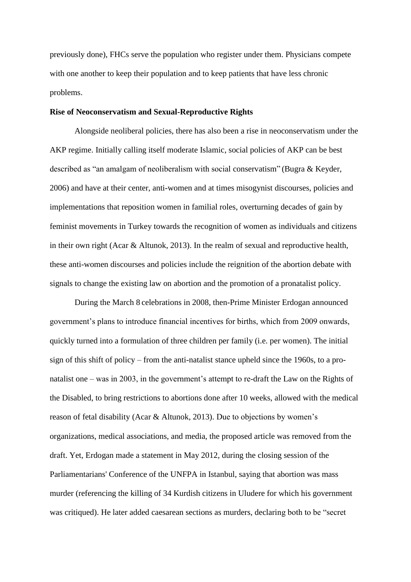previously done), FHCs serve the population who register under them. Physicians compete with one another to keep their population and to keep patients that have less chronic problems.

#### **Rise of Neoconservatism and Sexual-Reproductive Rights**

Alongside neoliberal policies, there has also been a rise in neoconservatism under the AKP regime. Initially calling itself moderate Islamic, social policies of AKP can be best described as "an amalgam of neoliberalism with social conservatism" (Bugra & Keyder, 2006) and have at their center, anti-women and at times misogynist discourses, policies and implementations that reposition women in familial roles, overturning decades of gain by feminist movements in Turkey towards the recognition of women as individuals and citizens in their own right (Acar & Altunok, 2013). In the realm of sexual and reproductive health, these anti-women discourses and policies include the reignition of the abortion debate with signals to change the existing law on abortion and the promotion of a pronatalist policy.

During the March 8 celebrations in 2008, then-Prime Minister Erdogan announced government's plans to introduce financial incentives for births, which from 2009 onwards, quickly turned into a formulation of three children per family (i.e. per women). The initial sign of this shift of policy – from the anti-natalist stance upheld since the 1960s, to a pronatalist one – was in 2003, in the government's attempt to re-draft the Law on the Rights of the Disabled, to bring restrictions to abortions done after 10 weeks, allowed with the medical reason of fetal disability (Acar & Altunok, 2013). Due to objections by women's organizations, medical associations, and media, the proposed article was removed from the draft. Yet, Erdogan made a statement in May 2012, during the closing session of the Parliamentarians' Conference of the UNFPA in Istanbul, saying that abortion was mass murder (referencing the killing of 34 Kurdish citizens in Uludere for which his government was critiqued). He later added caesarean sections as murders, declaring both to be "secret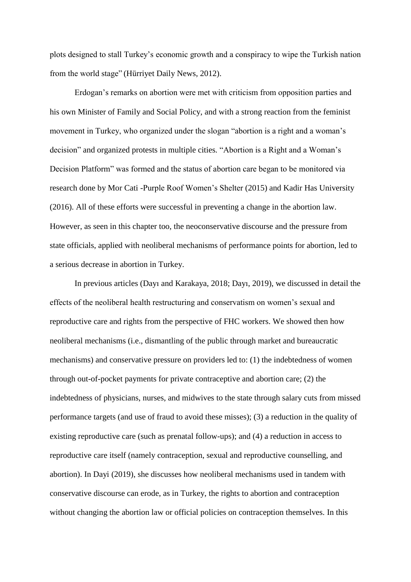plots designed to stall Turkey's economic growth and a conspiracy to wipe the Turkish nation from the world stage" (Hürriyet Daily News, 2012).

Erdogan's remarks on abortion were met with criticism from opposition parties and his own Minister of Family and Social Policy, and with a strong reaction from the feminist movement in Turkey, who organized under the slogan "abortion is a right and a woman's decision" and organized protests in multiple cities. "Abortion is a Right and a Woman's Decision Platform" was formed and the status of abortion care began to be monitored via research done by Mor Cati -Purple Roof Women's Shelter (2015) and Kadir Has University (2016). All of these efforts were successful in preventing a change in the abortion law. However, as seen in this chapter too, the neoconservative discourse and the pressure from state officials, applied with neoliberal mechanisms of performance points for abortion, led to a serious decrease in abortion in Turkey.

In previous articles (Dayı and Karakaya, 2018; Dayı, 2019), we discussed in detail the effects of the neoliberal health restructuring and conservatism on women's sexual and reproductive care and rights from the perspective of FHC workers. We showed then how neoliberal mechanisms (i.e., dismantling of the public through market and bureaucratic mechanisms) and conservative pressure on providers led to: (1) the indebtedness of women through out-of-pocket payments for private contraceptive and abortion care; (2) the indebtedness of physicians, nurses, and midwives to the state through salary cuts from missed performance targets (and use of fraud to avoid these misses); (3) a reduction in the quality of existing reproductive care (such as prenatal follow-ups); and (4) a reduction in access to reproductive care itself (namely contraception, sexual and reproductive counselling, and abortion). In Dayi (2019), she discusses how neoliberal mechanisms used in tandem with conservative discourse can erode, as in Turkey, the rights to abortion and contraception without changing the abortion law or official policies on contraception themselves. In this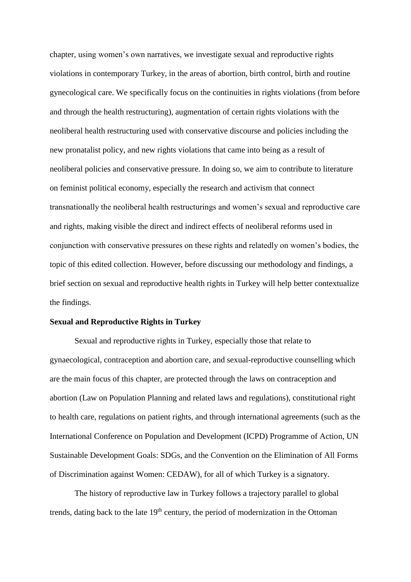chapter, using women's own narratives, we investigate sexual and reproductive rights violations in contemporary Turkey, in the areas of abortion, birth control, birth and routine gynecological care. We specifically focus on the continuities in rights violations (from before and through the health restructuring), augmentation of certain rights violations with the neoliberal health restructuring used with conservative discourse and policies including the new pronatalist policy, and new rights violations that came into being as a result of neoliberal policies and conservative pressure. In doing so, we aim to contribute to literature on feminist political economy, especially the research and activism that connect transnationally the neoliberal health restructurings and women's sexual and reproductive care and rights, making visible the direct and indirect effects of neoliberal reforms used in conjunction with conservative pressures on these rights and relatedly on women's bodies, the topic of this edited collection. However, before discussing our methodology and findings, a brief section on sexual and reproductive health rights in Turkey will help better contextualize the findings.

# **Sexual and Reproductive Rights in Turkey**

Sexual and reproductive rights in Turkey, especially those that relate to gynaecological, contraception and abortion care, and sexual-reproductive counselling which are the main focus of this chapter, are protected through the laws on contraception and abortion (Law on Population Planning and related laws and regulations), constitutional right to health care, regulations on patient rights, and through international agreements (such as the International Conference on Population and Development (ICPD) Programme of Action, UN Sustainable Development Goals: SDGs, and the Convention on the Elimination of All Forms of Discrimination against Women: CEDAW), for all of which Turkey is a signatory.

The history of reproductive law in Turkey follows a trajectory parallel to global trends, dating back to the late 19<sup>th</sup> century, the period of modernization in the Ottoman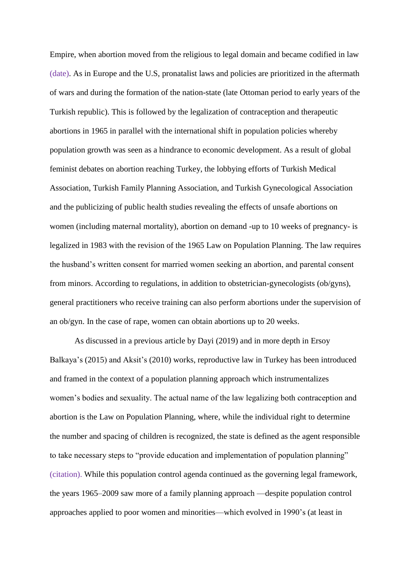Empire, when abortion moved from the religious to legal domain and became codified in law (date). As in Europe and the U.S, pronatalist laws and policies are prioritized in the aftermath of wars and during the formation of the nation-state (late Ottoman period to early years of the Turkish republic). This is followed by the legalization of contraception and therapeutic abortions in 1965 in parallel with the international shift in population policies whereby population growth was seen as a hindrance to economic development. As a result of global feminist debates on abortion reaching Turkey, the lobbying efforts of Turkish Medical Association, Turkish Family Planning Association, and Turkish Gynecological Association and the publicizing of public health studies revealing the effects of unsafe abortions on women (including maternal mortality), abortion on demand -up to 10 weeks of pregnancy- is legalized in 1983 with the revision of the 1965 Law on Population Planning. The law requires the husband's written consent for married women seeking an abortion, and parental consent from minors. According to regulations, in addition to obstetrician-gynecologists (ob/gyns), general practitioners who receive training can also perform abortions under the supervision of an ob/gyn. In the case of rape, women can obtain abortions up to 20 weeks.

As discussed in a previous article by Dayi (2019) and in more depth in Ersoy Balkaya's (2015) and Aksit's (2010) works, reproductive law in Turkey has been introduced and framed in the context of a population planning approach which instrumentalizes women's bodies and sexuality. The actual name of the law legalizing both contraception and abortion is the Law on Population Planning, where, while the individual right to determine the number and spacing of children is recognized, the state is defined as the agent responsible to take necessary steps to "provide education and implementation of population planning" (citation). While this population control agenda continued as the governing legal framework, the years 1965–2009 saw more of a family planning approach —despite population control approaches applied to poor women and minorities—which evolved in 1990's (at least in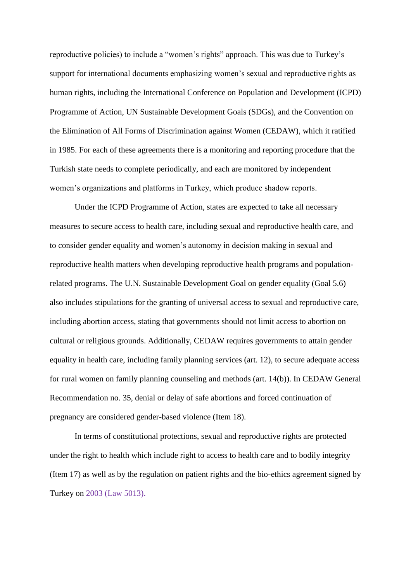reproductive policies) to include a "women's rights" approach. This was due to Turkey's support for international documents emphasizing women's sexual and reproductive rights as human rights, including the International Conference on Population and Development (ICPD) Programme of Action, UN Sustainable Development Goals (SDGs), and the Convention on the Elimination of All Forms of Discrimination against Women (CEDAW), which it ratified in 1985. For each of these agreements there is a monitoring and reporting procedure that the Turkish state needs to complete periodically, and each are monitored by independent women's organizations and platforms in Turkey, which produce shadow reports.

Under the ICPD Programme of Action, states are expected to take all necessary measures to secure access to health care, including sexual and reproductive health care, and to consider gender equality and women's autonomy in decision making in sexual and reproductive health matters when developing reproductive health programs and populationrelated programs. The U.N. Sustainable Development Goal on gender equality (Goal 5.6) also includes stipulations for the granting of universal access to sexual and reproductive care, including abortion access, stating that governments should not limit access to abortion on cultural or religious grounds. Additionally, CEDAW requires governments to attain gender equality in health care, including family planning services (art. 12), to secure adequate access for rural women on family planning counseling and methods (art. 14(b)). In CEDAW General Recommendation no. 35, denial or delay of safe abortions and forced continuation of pregnancy are considered gender-based violence (Item 18).

In terms of constitutional protections, sexual and reproductive rights are protected under the right to health which include right to access to health care and to bodily integrity (Item 17) as well as by the regulation on patient rights and the bio-ethics agreement signed by Turkey on 2003 (Law 5013).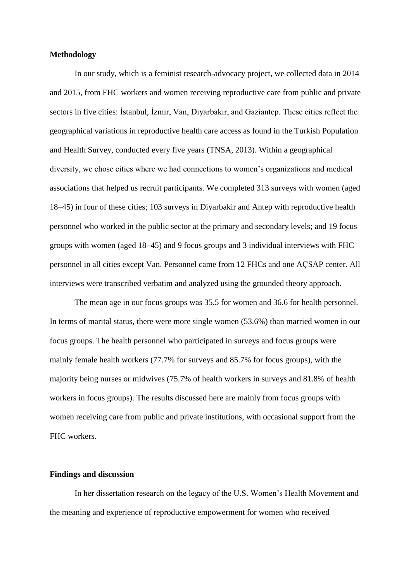#### **Methodology**

In our study, which is a feminist research-advocacy project, we collected data in 2014 and 2015, from FHC workers and women receiving reproductive care from public and private sectors in five cities: İstanbul, İzmir, Van, Diyarbakır, and Gaziantep. These cities reflect the geographical variations in reproductive health care access as found in the Turkish Population and Health Survey, conducted every five years (TNSA, 2013). Within a geographical diversity, we chose cities where we had connections to women's organizations and medical associations that helped us recruit participants. We completed 313 surveys with women (aged 18–45) in four of these cities; 103 surveys in Diyarbakir and Antep with reproductive health personnel who worked in the public sector at the primary and secondary levels; and 19 focus groups with women (aged 18–45) and 9 focus groups and 3 individual interviews with FHC personnel in all cities except Van. Personnel came from 12 FHCs and one AÇSAP center. All interviews were transcribed verbatim and analyzed using the grounded theory approach.

The mean age in our focus groups was 35.5 for women and 36.6 for health personnel. In terms of marital status, there were more single women (53.6%) than married women in our focus groups. The health personnel who participated in surveys and focus groups were mainly female health workers (77.7% for surveys and 85.7% for focus groups), with the majority being nurses or midwives (75.7% of health workers in surveys and 81.8% of health workers in focus groups). The results discussed here are mainly from focus groups with women receiving care from public and private institutions, with occasional support from the FHC workers.

# **Findings and discussion**

In her dissertation research on the legacy of the U.S. Women's Health Movement and the meaning and experience of reproductive empowerment for women who received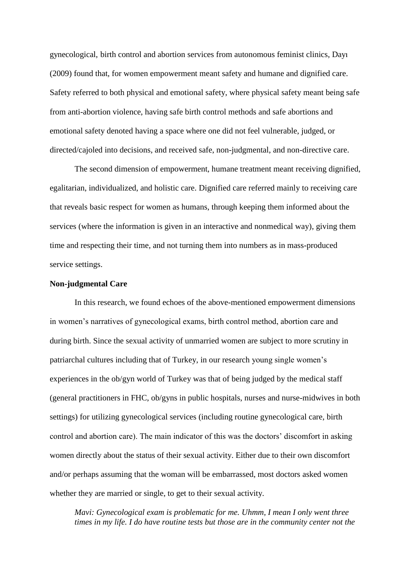gynecological, birth control and abortion services from autonomous feminist clinics, Dayı (2009) found that, for women empowerment meant safety and humane and dignified care. Safety referred to both physical and emotional safety, where physical safety meant being safe from anti-abortion violence, having safe birth control methods and safe abortions and emotional safety denoted having a space where one did not feel vulnerable, judged, or directed/cajoled into decisions, and received safe, non-judgmental, and non-directive care.

The second dimension of empowerment, humane treatment meant receiving dignified, egalitarian, individualized, and holistic care. Dignified care referred mainly to receiving care that reveals basic respect for women as humans, through keeping them informed about the services (where the information is given in an interactive and nonmedical way), giving them time and respecting their time, and not turning them into numbers as in mass-produced service settings.

#### **Non-judgmental Care**

In this research, we found echoes of the above-mentioned empowerment dimensions in women's narratives of gynecological exams, birth control method, abortion care and during birth. Since the sexual activity of unmarried women are subject to more scrutiny in patriarchal cultures including that of Turkey, in our research young single women's experiences in the ob/gyn world of Turkey was that of being judged by the medical staff (general practitioners in FHC, ob/gyns in public hospitals, nurses and nurse-midwives in both settings) for utilizing gynecological services (including routine gynecological care, birth control and abortion care). The main indicator of this was the doctors' discomfort in asking women directly about the status of their sexual activity. Either due to their own discomfort and/or perhaps assuming that the woman will be embarrassed, most doctors asked women whether they are married or single, to get to their sexual activity.

*Mavi: Gynecological exam is problematic for me. Uhmm, I mean I only went three times in my life. I do have routine tests but those are in the community center not the*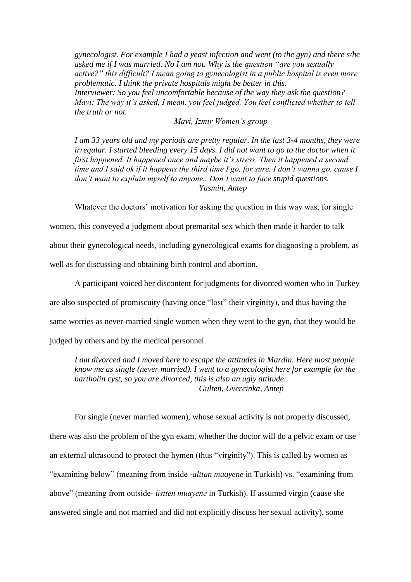*gynecologist. For example I had a yeast infection and went (to the gyn) and there s/he asked me if I was married. No I am not. Why is the question "are you sexually active?" this difficult? I mean going to gynecologist in a public hospital is even more problematic. I think the private hospitals might be better in this. Interviewer: So you feel uncomfortable because of the way they ask the question? Mavi: The way it's asked, I mean, you feel judged. You feel conflicted whether to tell the truth or not.*

*Mavi, Izmir Women's group*

*I am 33 years old and my periods are pretty regular. In the last 3-4 months, they were irregular. I started bleeding every 15 days. I did not want to go to the doctor when it first happened. It happened once and maybe it's stress. Then it happened a second time and I said ok if it happens the third time I go, for sure. I don't wanna go, cause I don't want to explain myself to anyone.. Don't want to face stupid questions. Yasmin, Antep* 

Whatever the doctors' motivation for asking the question in this way was, for single

women, this conveyed a judgment about premarital sex which then made it harder to talk

about their gynecological needs, including gynecological exams for diagnosing a problem, as

well as for discussing and obtaining birth control and abortion.

A participant voiced her discontent for judgments for divorced women who in Turkey are also suspected of promiscuity (having once "lost" their virginity), and thus having the same worries as never-married single women when they went to the gyn, that they would be judged by others and by the medical personnel.

*I am divorced and I moved here to escape the attitudes in Mardin. Here most people know me as single (never married). I went to a gynecologist here for example for the bartholin cyst, so you are divorced, this is also an ugly attitude. Gulten, Uvercinka, Antep*

For single (never married women), whose sexual activity is not properly discussed, there was also the problem of the gyn exam, whether the doctor will do a pelvic exam or use an external ultrasound to protect the hymen (thus "virginity"). This is called by women as "examining below" (meaning from inside -*alttan muayene* in Turkish) vs. "examining from above" (meaning from outside- *üstten muayene* in Turkish). If assumed virgin (cause she answered single and not married and did not explicitly discuss her sexual activity), some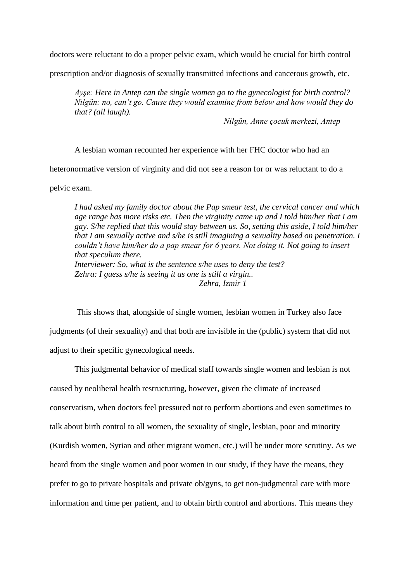doctors were reluctant to do a proper pelvic exam, which would be crucial for birth control

prescription and/or diagnosis of sexually transmitted infections and cancerous growth, etc.

*Ayşe: Here in Antep can the single women go to the gynecologist for birth control? Nilgün: no, can't go. Cause they would examine from below and how would they do that? (all laugh).* 

*Nilgün, Anne çocuk merkezi, Antep*

A lesbian woman recounted her experience with her FHC doctor who had an

heteronormative version of virginity and did not see a reason for or was reluctant to do a

pelvic exam.

*I had asked my family doctor about the Pap smear test, the cervical cancer and which age range has more risks etc. Then the virginity came up and I told him/her that I am gay. S/he replied that this would stay between us. So, setting this aside, I told him/her that I am sexually active and s/he is still imagining a sexuality based on penetration. I couldn't have him/her do a pap smear for 6 years. Not doing it. Not going to insert that speculum there. Interviewer: So, what is the sentence s/he uses to deny the test? Zehra: I guess s/he is seeing it as one is still a virgin.. Zehra, Izmir 1*

This shows that, alongside of single women, lesbian women in Turkey also face judgments (of their sexuality) and that both are invisible in the (public) system that did not adjust to their specific gynecological needs.

This judgmental behavior of medical staff towards single women and lesbian is not caused by neoliberal health restructuring, however, given the climate of increased conservatism, when doctors feel pressured not to perform abortions and even sometimes to talk about birth control to all women, the sexuality of single, lesbian, poor and minority (Kurdish women, Syrian and other migrant women, etc.) will be under more scrutiny. As we heard from the single women and poor women in our study, if they have the means, they prefer to go to private hospitals and private ob/gyns, to get non-judgmental care with more information and time per patient, and to obtain birth control and abortions. This means they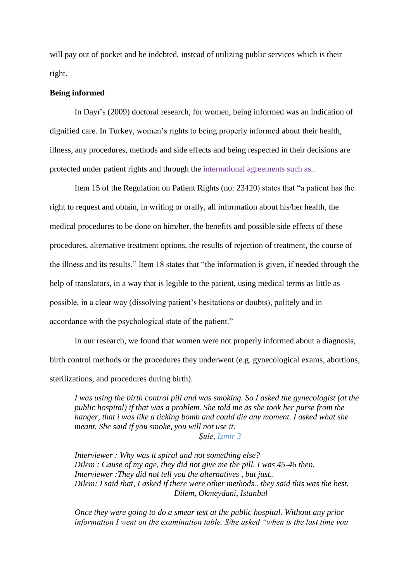will pay out of pocket and be indebted, instead of utilizing public services which is their right.

## **Being informed**

In Dayı's (2009) doctoral research, for women, being informed was an indication of dignified care. In Turkey, women's rights to being properly informed about their health, illness, any procedures, methods and side effects and being respected in their decisions are protected under patient rights and through the international agreements such as..

Item 15 of the Regulation on Patient Rights (no: 23420) states that "a patient has the right to request and obtain, in writing or orally, all information about his/her health, the medical procedures to be done on him/her, the benefits and possible side effects of these procedures, alternative treatment options, the results of rejection of treatment, the course of the illness and its results." Item 18 states that "the information is given, if needed through the help of translators, in a way that is legible to the patient, using medical terms as little as possible, in a clear way (dissolving patient's hesitations or doubts), politely and in accordance with the psychological state of the patient."

In our research, we found that women were not properly informed about a diagnosis, birth control methods or the procedures they underwent (e.g. gynecological exams, abortions, sterilizations, and procedures during birth).

*I was using the birth control pill and was smoking. So I asked the gynecologist (at the public hospital) if that was a problem. She told me as she took her purse from the hanger, that i was like a ticking bomb and could die any moment. I asked what she meant. She said if you smoke, you will not use it. Şule, Izmir 3*

*Interviewer : Why was it spiral and not something else? Dilem : Cause of my age, they did not give me the pill. I was 45-46 then. Interviewer :They did not tell you the alternatives , but just.. Dilem: I said that, I asked if there were other methods.. they said this was the best. Dilem, Okmeydani, Istanbul* 

*Once they were going to do a smear test at the public hospital. Without any prior information I went on the examination table. S/he asked "when is the last time you*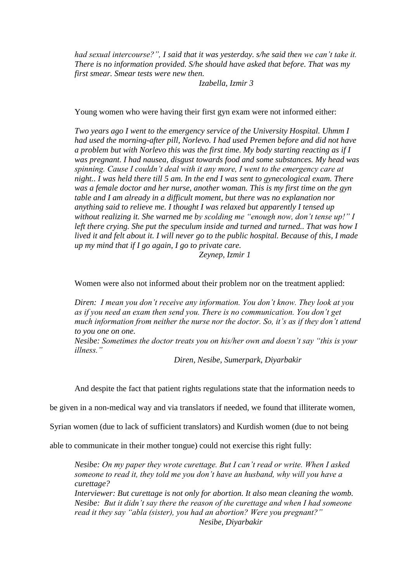*had sexual intercourse?", I said that it was yesterday. s/he said then we can't take it. There is no information provided. S/he should have asked that before. That was my first smear. Smear tests were new then.*

*Izabella, Izmir 3*

Young women who were having their first gyn exam were not informed either:

*Two years ago I went to the emergency service of the University Hospital. Uhmm I had used the morning-after pill, Norlevo. I had used Premen before and did not have a problem but with Norlevo this was the first time. My body starting reacting as if I was pregnant. I had nausea, disgust towards food and some substances. My head was spinning. Cause I couldn't deal with it any more, I went to the emergency care at night.. I was held there till 5 am. In the end I was sent to gynecological exam. There was a female doctor and her nurse, another woman. This is my first time on the gyn table and I am already in a difficult moment, but there was no explanation nor anything said to relieve me. I thought I was relaxed but apparently I tensed up without realizing it. She warned me by scolding me "enough now, don't tense up!" I left there crying. She put the speculum inside and turned and turned.. That was how I lived it and felt about it. I will never go to the public hospital. Because of this, I made up my mind that if I go again, I go to private care. Zeynep, Izmir 1*

Women were also not informed about their problem nor on the treatment applied:

*Diren: I mean you don't receive any information. You don't know. They look at you as if you need an exam then send you. There is no communication. You don't get much information from neither the nurse nor the doctor. So, it's as if they don't attend to you one on one.* 

*Nesibe: Sometimes the doctor treats you on his/her own and doesn't say "this is your illness."*

*Diren, Nesibe, Sumerpark, Diyarbakir*

And despite the fact that patient rights regulations state that the information needs to

be given in a non-medical way and via translators if needed, we found that illiterate women,

Syrian women (due to lack of sufficient translators) and Kurdish women (due to not being

able to communicate in their mother tongue) could not exercise this right fully:

*Nesibe: On my paper they wrote curettage. But I can't read or write. When I asked someone to read it, they told me you don't have an husband, why will you have a curettage?* 

*Interviewer: But curettage is not only for abortion. It also mean cleaning the womb. Nesibe: But it didn't say there the reason of the curettage and when I had someone read it they say "abla (sister), you had an abortion? Were you pregnant?" Nesibe, Diyarbakir*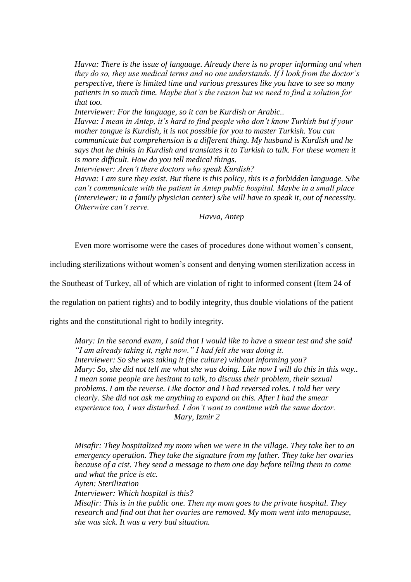*Havva: There is the issue of language. Already there is no proper informing and when they do so, they use medical terms and no one understands. If I look from the doctor's perspective, there is limited time and various pressures like you have to see so many patients in so much time. Maybe that's the reason but we need to find a solution for that too.* 

*Interviewer: For the language, so it can be Kurdish or Arabic..*

*Havva: I mean in Antep, it's hard to find people who don't know Turkish but if your mother tongue is Kurdish, it is not possible for you to master Turkish. You can communicate but comprehension is a different thing. My husband is Kurdish and he says that he thinks in Kurdish and translates it to Turkish to talk. For these women it is more difficult. How do you tell medical things.*

*Interviewer: Aren't there doctors who speak Kurdish?*

*Havva: I am sure they exist. But there is this policy, this is a forbidden language. S/he can't communicate with the patient in Antep public hospital. Maybe in a small place (Interviewer: in a family physician center) s/he will have to speak it, out of necessity. Otherwise can't serve.* 

*Havva, Antep*

Even more worrisome were the cases of procedures done without women's consent,

including sterilizations without women's consent and denying women sterilization access in

the Southeast of Turkey, all of which are violation of right to informed consent (Item 24 of

the regulation on patient rights) and to bodily integrity, thus double violations of the patient

rights and the constitutional right to bodily integrity.

*Mary: In the second exam, I said that I would like to have a smear test and she said "I am already taking it, right now." I had felt she was doing it. Interviewer: So she was taking it (the culture) without informing you? Mary: So, she did not tell me what she was doing. Like now I will do this in this way.. I mean some people are hesitant to talk, to discuss their problem, their sexual problems. I am the reverse. Like doctor and I had reversed roles. I told her very clearly. She did not ask me anything to expand on this. After I had the smear experience too, I was disturbed. I don't want to continue with the same doctor. Mary, Izmir 2*

*Misafir: They hospitalized my mom when we were in the village. They take her to an emergency operation. They take the signature from my father. They take her ovaries because of a cist. They send a message to them one day before telling them to come and what the price is etc. Ayten: Sterilization Interviewer: Which hospital is this? Misafir: This is in the public one. Then my mom goes to the private hospital. They research and find out that her ovaries are removed. My mom went into menopause, she was sick. It was a very bad situation.*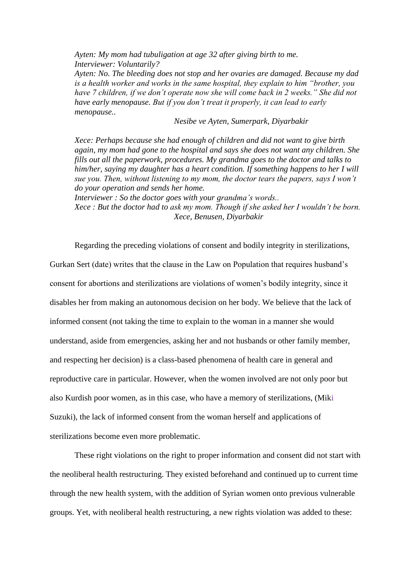*Ayten: My mom had tubuligation at age 32 after giving birth to me. Interviewer: Voluntarily? Ayten: No. The bleeding does not stop and her ovaries are damaged. Because my dad is a health worker and works in the same hospital, they explain to him "brother, you have 7 children, if we don't operate now she will come back in 2 weeks." She did not have early menopause. But if you don't treat it properly, it can lead to early menopause..* 

*Nesibe ve Ayten, Sumerpark, Diyarbakir*

*Xece: Perhaps because she had enough of children and did not want to give birth again, my mom had gone to the hospital and says she does not want any children. She fills out all the paperwork, procedures. My grandma goes to the doctor and talks to him/her, saying my daughter has a heart condition. If something happens to her I will sue you. Then, without listening to my mom, the doctor tears the papers, says I won't do your operation and sends her home.* 

*Interviewer : So the doctor goes with your grandma's words.. Xece : But the doctor had to ask my mom. Though if she asked her I wouldn't be born. Xece, Benusen, Diyarbakir*

Regarding the preceding violations of consent and bodily integrity in sterilizations, Gurkan Sert (date) writes that the clause in the Law on Population that requires husband's consent for abortions and sterilizations are violations of women's bodily integrity, since it disables her from making an autonomous decision on her body. We believe that the lack of informed consent (not taking the time to explain to the woman in a manner she would understand, aside from emergencies, asking her and not husbands or other family member, and respecting her decision) is a class-based phenomena of health care in general and reproductive care in particular. However, when the women involved are not only poor but also Kurdish poor women, as in this case, who have a memory of sterilizations, (Miki Suzuki), the lack of informed consent from the woman herself and applications of sterilizations become even more problematic.

These right violations on the right to proper information and consent did not start with the neoliberal health restructuring. They existed beforehand and continued up to current time through the new health system, with the addition of Syrian women onto previous vulnerable groups. Yet, with neoliberal health restructuring, a new rights violation was added to these: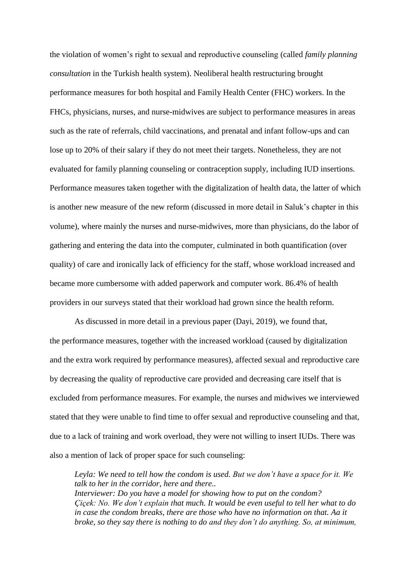the violation of women's right to sexual and reproductive counseling (called *family planning consultation* in the Turkish health system). Neoliberal health restructuring brought performance measures for both hospital and Family Health Center (FHC) workers. In the FHCs, physicians, nurses, and nurse-midwives are subject to performance measures in areas such as the rate of referrals, child vaccinations, and prenatal and infant follow-ups and can lose up to 20% of their salary if they do not meet their targets. Nonetheless, they are not evaluated for family planning counseling or contraception supply, including IUD insertions. Performance measures taken together with the digitalization of health data, the latter of which is another new measure of the new reform (discussed in more detail in Saluk's chapter in this volume), where mainly the nurses and nurse-midwives, more than physicians, do the labor of gathering and entering the data into the computer, culminated in both quantification (over quality) of care and ironically lack of efficiency for the staff, whose workload increased and became more cumbersome with added paperwork and computer work. 86.4% of health providers in our surveys stated that their workload had grown since the health reform.

As discussed in more detail in a previous paper (Dayi, 2019), we found that, the performance measures, together with the increased workload (caused by digitalization and the extra work required by performance measures), affected sexual and reproductive care by decreasing the quality of reproductive care provided and decreasing care itself that is excluded from performance measures. For example, the nurses and midwives we interviewed stated that they were unable to find time to offer sexual and reproductive counseling and that, due to a lack of training and work overload, they were not willing to insert IUDs. There was also a mention of lack of proper space for such counseling:

*Leyla: We need to tell how the condom is used. But we don't have a space for it. We talk to her in the corridor, here and there.. Interviewer: Do you have a model for showing how to put on the condom? Çiçek: No. We don't explain that much. It would be even useful to tell her what to do in case the condom breaks, there are those who have no information on that. Aa it broke, so they say there is nothing to do and they don't do anything. So, at minimum,*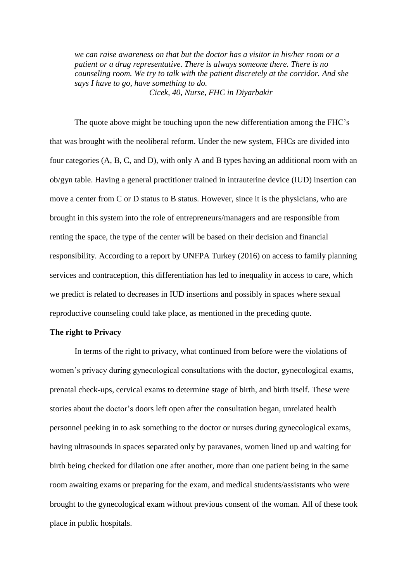*we can raise awareness on that but the doctor has a visitor in his/her room or a patient or a drug representative. There is always someone there. There is no counseling room. We try to talk with the patient discretely at the corridor. And she says I have to go, have something to do. Cicek, 40, Nurse, FHC in Diyarbakir* 

The quote above might be touching upon the new differentiation among the FHC's that was brought with the neoliberal reform. Under the new system, FHCs are divided into four categories (A, B, C, and D), with only A and B types having an additional room with an ob/gyn table. Having a general practitioner trained in intrauterine device (IUD) insertion can move a center from C or D status to B status. However, since it is the physicians, who are brought in this system into the role of entrepreneurs/managers and are responsible from renting the space, the type of the center will be based on their decision and financial responsibility. According to a report by UNFPA Turkey (2016) on access to family planning services and contraception, this differentiation has led to inequality in access to care, which we predict is related to decreases in IUD insertions and possibly in spaces where sexual reproductive counseling could take place, as mentioned in the preceding quote.

## **The right to Privacy**

In terms of the right to privacy, what continued from before were the violations of women's privacy during gynecological consultations with the doctor, gynecological exams, prenatal check-ups, cervical exams to determine stage of birth, and birth itself. These were stories about the doctor's doors left open after the consultation began, unrelated health personnel peeking in to ask something to the doctor or nurses during gynecological exams, having ultrasounds in spaces separated only by paravanes, women lined up and waiting for birth being checked for dilation one after another, more than one patient being in the same room awaiting exams or preparing for the exam, and medical students/assistants who were brought to the gynecological exam without previous consent of the woman. All of these took place in public hospitals.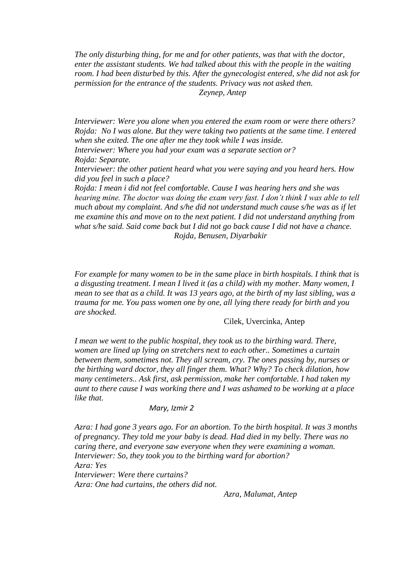*The only disturbing thing, for me and for other patients, was that with the doctor, enter the assistant students. We had talked about this with the people in the waiting room. I had been disturbed by this. After the gynecologist entered, s/he did not ask for permission for the entrance of the students. Privacy was not asked then. Zeynep, Antep*

*Interviewer: Were you alone when you entered the exam room or were there others? Rojda: No I was alone. But they were taking two patients at the same time. I entered when she exited. The one after me they took while I was inside.* 

*Interviewer: Where you had your exam was a separate section or? Rojda: Separate.* 

*Interviewer: the other patient heard what you were saying and you heard hers. How did you feel in such a place?*

*Rojda: I mean i did not feel comfortable. Cause I was hearing hers and she was hearing mine. The doctor was doing the exam very fast. I don't think I was able to tell much about my complaint. And s/he did not understand much cause s/he was as if let me examine this and move on to the next patient. I did not understand anything from what s/he said. Said come back but I did not go back cause I did not have a chance. Rojda, Benusen, Diyarbakir*

*For example for many women to be in the same place in birth hospitals. I think that is a disgusting treatment. I mean I lived it (as a child) with my mother. Many women, I mean to see that as a child. It was 13 years ago, at the birth of my last sibling, was a trauma for me. You pass women one by one, all lying there ready for birth and you are shocked.* 

#### Cilek, Uvercinka, Antep

*I mean we went to the public hospital, they took us to the birthing ward. There, women are lined up lying on stretchers next to each other.. Sometimes a curtain between them, sometimes not. They all scream, cry. The ones passing by, nurses or the birthing ward doctor, they all finger them. What? Why? To check dilation, how many centimeters.. Ask first, ask permission, make her comfortable. I had taken my aunt to there cause I was working there and I was ashamed to be working at a place like that.* 

#### *Mary, Izmir 2*

*Azra: I had gone 3 years ago. For an abortion. To the birth hospital. It was 3 months of pregnancy. They told me your baby is dead. Had died in my belly. There was no caring there, and everyone saw everyone when they were examining a woman. Interviewer: So, they took you to the birthing ward for abortion? Azra: Yes Interviewer: Were there curtains? Azra: One had curtains, the others did not.* 

*Azra, Malumat, Antep*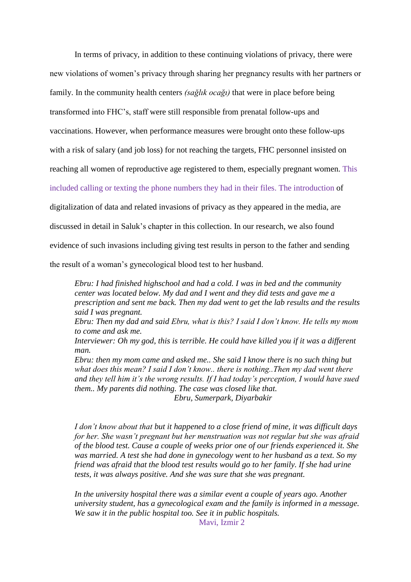In terms of privacy, in addition to these continuing violations of privacy, there were new violations of women's privacy through sharing her pregnancy results with her partners or family. In the community health centers *(sağlık ocağı)* that were in place before being transformed into FHC's, staff were still responsible from prenatal follow-ups and vaccinations. However, when performance measures were brought onto these follow-ups with a risk of salary (and job loss) for not reaching the targets, FHC personnel insisted on reaching all women of reproductive age registered to them, especially pregnant women. This included calling or texting the phone numbers they had in their files. The introduction of digitalization of data and related invasions of privacy as they appeared in the media, are discussed in detail in Saluk's chapter in this collection. In our research, we also found evidence of such invasions including giving test results in person to the father and sending the result of a woman's gynecological blood test to her husband.

*Ebru: I had finished highschool and had a cold. I was in bed and the community center was located below. My dad and I went and they did tests and gave me a prescription and sent me back. Then my dad went to get the lab results and the results said I was pregnant.* 

*Ebru: Then my dad and said Ebru, what is this? I said I don't know. He tells my mom to come and ask me.* 

*Interviewer: Oh my god, this is terrible. He could have killed you if it was a different man.* 

*Ebru: then my mom came and asked me.. She said I know there is no such thing but what does this mean? I said I don't know.. there is nothing..Then my dad went there and they tell him it's the wrong results. If I had today's perception, I would have sued them.. My parents did nothing. The case was closed like that. Ebru, Sumerpark, Diyarbakir*

*I don't know about that but it happened to a close friend of mine, it was difficult days for her. She wasn't pregnant but her menstruation was not regular but she was afraid of the blood test. Cause a couple of weeks prior one of our friends experienced it. She was married. A test she had done in gynecology went to her husband as a text. So my friend was afraid that the blood test results would go to her family. If she had urine tests, it was always positive. And she was sure that she was pregnant.* 

*In the university hospital there was a similar event a couple of years ago. Another university student, has a gynecological exam and the family is informed in a message. We saw it in the public hospital too. See it in public hospitals.* 

Mavi, Izmir 2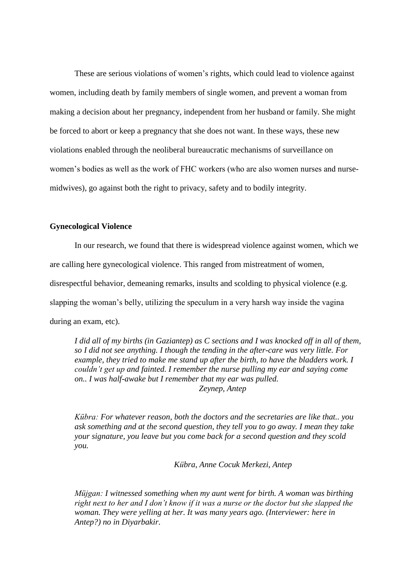These are serious violations of women's rights, which could lead to violence against women, including death by family members of single women, and prevent a woman from making a decision about her pregnancy, independent from her husband or family. She might be forced to abort or keep a pregnancy that she does not want. In these ways, these new violations enabled through the neoliberal bureaucratic mechanisms of surveillance on women's bodies as well as the work of FHC workers (who are also women nurses and nursemidwives), go against both the right to privacy, safety and to bodily integrity.

# **Gynecological Violence**

In our research, we found that there is widespread violence against women, which we are calling here gynecological violence. This ranged from mistreatment of women, disrespectful behavior, demeaning remarks, insults and scolding to physical violence (e.g. slapping the woman's belly, utilizing the speculum in a very harsh way inside the vagina during an exam, etc).

*I did all of my births (in Gaziantep) as C sections and I was knocked off in all of them, so I did not see anything. I though the tending in the after-care was very little. For example, they tried to make me stand up after the birth, to have the bladders work. I couldn't get up and fainted. I remember the nurse pulling my ear and saying come on.. I was half-awake but I remember that my ear was pulled. Zeynep, Antep*

*Kübra: For whatever reason, both the doctors and the secretaries are like that.. you ask something and at the second question, they tell you to go away. I mean they take your signature, you leave but you come back for a second question and they scold you.* 

*Kübra, Anne Cocuk Merkezi, Antep*

*Müjgan: I witnessed something when my aunt went for birth. A woman was birthing right next to her and I don't know if it was a nurse or the doctor but she slapped the woman. They were yelling at her. It was many years ago. (Interviewer: here in Antep?) no in Diyarbakir.*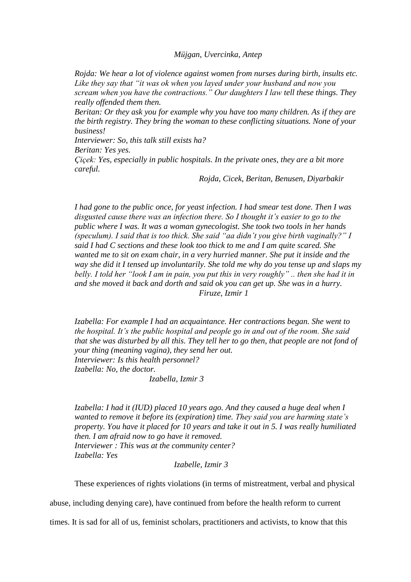#### *Müjgan, Uvercinka, Antep*

*Rojda: We hear a lot of violence against women from nurses during birth, insults etc. Like they say that "it was ok when you layed under your husband and now you scream when you have the contractions." Our daughters I law tell these things. They really offended them then.* 

*Beritan: Or they ask you for example why you have too many children. As if they are the birth registry. They bring the woman to these conflicting situations. None of your business!* 

*Interviewer: So, this talk still exists ha?*

*Beritan: Yes yes.*

*Çiçek: Yes, especially in public hospitals. In the private ones, they are a bit more careful.*

*Rojda, Cicek, Beritan, Benusen, Diyarbakir*

*I had gone to the public once, for yeast infection. I had smear test done. Then I was disgusted cause there was an infection there. So I thought it's easier to go to the public where I was. It was a woman gynecologist. She took two tools in her hands (speculum). I said that is too thick. She said "aa didn't you give birth vaginally?" I said I had C sections and these look too thick to me and I am quite scared. She wanted me to sit on exam chair, in a very hurried manner. She put it inside and the way she did it I tensed up involuntarily. She told me why do you tense up and slaps my belly. I told her "look I am in pain, you put this in very roughly" .. then she had it in and she moved it back and dorth and said ok you can get up. She was in a hurry. Firuze, Izmir 1*

*Izabella: For example I had an acquaintance. Her contractions began. She went to the hospital. It's the public hospital and people go in and out of the room. She said that she was disturbed by all this. They tell her to go then, that people are not fond of your thing (meaning vagina), they send her out. Interviewer: Is this health personnel? Izabella: No, the doctor.* 

*Izabella, Izmir 3*

*Izabella: I had it (IUD) placed 10 years ago. And they caused a huge deal when I wanted to remove it before its (expiration) time. They said you are harming state's property. You have it placed for 10 years and take it out in 5. I was really humiliated then. I am afraid now to go have it removed. Interviewer : This was at the community center?* 

*Izabella: Yes*

*Izabelle, Izmir 3*

These experiences of rights violations (in terms of mistreatment, verbal and physical

abuse, including denying care), have continued from before the health reform to current

times. It is sad for all of us, feminist scholars, practitioners and activists, to know that this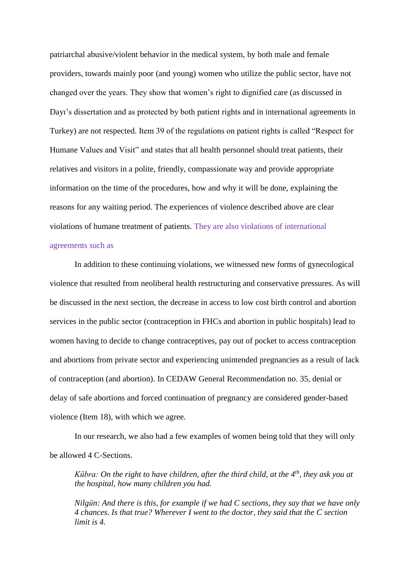patriarchal abusive/violent behavior in the medical system, by both male and female providers, towards mainly poor (and young) women who utilize the public sector, have not changed over the years. They show that women's right to dignified care (as discussed in Dayı's dissertation and as protected by both patient rights and in international agreements in Turkey) are not respected. Item 39 of the regulations on patient rights is called "Respect for Humane Values and Visit" and states that all health personnel should treat patients, their relatives and visitors in a polite, friendly, compassionate way and provide appropriate information on the time of the procedures, how and why it will be done, explaining the reasons for any waiting period. The experiences of violence described above are clear violations of humane treatment of patients. They are also violations of international agreements such as

In addition to these continuing violations, we witnessed new forms of gynecological violence that resulted from neoliberal health restructuring and conservative pressures. As will be discussed in the next section, the decrease in access to low cost birth control and abortion services in the public sector (contraception in FHCs and abortion in public hospitals) lead to women having to decide to change contraceptives, pay out of pocket to access contraception and abortions from private sector and experiencing unintended pregnancies as a result of lack of contraception (and abortion). In CEDAW General Recommendation no. 35, denial or delay of safe abortions and forced continuation of pregnancy are considered gender-based violence (Item 18), with which we agree.

In our research, we also had a few examples of women being told that they will only be allowed 4 C-Sections.

*Kübra: On the right to have children, after the third child, at the 4th, they ask you at the hospital, how many children you had.* 

*Nilgün: And there is this, for example if we had C sections, they say that we have only 4 chances. Is that true? Wherever I went to the doctor, they said that the C section limit is 4.*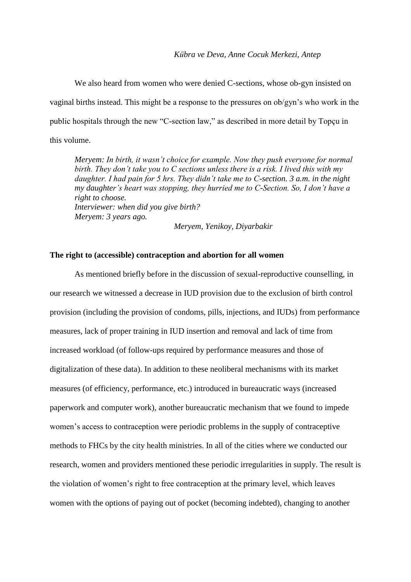We also heard from women who were denied C-sections, whose ob-gyn insisted on vaginal births instead. This might be a response to the pressures on ob/gyn's who work in the public hospitals through the new "C-section law," as described in more detail by Topçu in this volume.

*Meryem: In birth, it wasn't choice for example. Now they push everyone for normal birth. They don't take you to C sections unless there is a risk. I lived this with my daughter. I had pain for 5 hrs. They didn't take me to C-section. 3 a.m. in the night my daughter's heart was stopping, they hurried me to C-Section. So, I don't have a right to choose. Interviewer: when did you give birth? Meryem: 3 years ago.* 

*Meryem, Yenikoy, Diyarbakir*

# **The right to (accessible) contraception and abortion for all women**

As mentioned briefly before in the discussion of sexual-reproductive counselling, in our research we witnessed a decrease in IUD provision due to the exclusion of birth control provision (including the provision of condoms, pills, injections, and IUDs) from performance measures, lack of proper training in IUD insertion and removal and lack of time from increased workload (of follow-ups required by performance measures and those of digitalization of these data). In addition to these neoliberal mechanisms with its market measures (of efficiency, performance, etc.) introduced in bureaucratic ways (increased paperwork and computer work), another bureaucratic mechanism that we found to impede women's access to contraception were periodic problems in the supply of contraceptive methods to FHCs by the city health ministries. In all of the cities where we conducted our research, women and providers mentioned these periodic irregularities in supply. The result is the violation of women's right to free contraception at the primary level, which leaves women with the options of paying out of pocket (becoming indebted), changing to another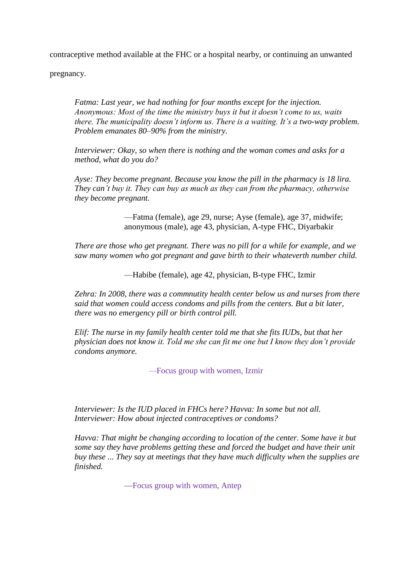contraceptive method available at the FHC or a hospital nearby, or continuing an unwanted

pregnancy.

*Fatma: Last year, we had nothing for four months except for the injection. Anonymous: Most of the time the ministry buys it but it doesn't come to us, waits there. The municipality doesn't inform us. There is a waiting. It's a two-way problem. Problem emanates 80–90% from the ministry.* 

*Interviewer: Okay, so when there is nothing and the woman comes and asks for a method, what do you do?* 

*Ayse: They become pregnant. Because you know the pill in the pharmacy is 18 lira. They can't buy it. They can buy as much as they can from the pharmacy, otherwise they become pregnant.* 

> —Fatma (female), age 29, nurse; Ayse (female), age 37, midwife; anonymous (male), age 43, physician, A-type FHC, Diyarbakir

*There are those who get pregnant. There was no pill for a while for example, and we saw many women who got pregnant and gave birth to their whateverth number child.* 

—Habibe (female), age 42, physician, B-type FHC, Izmir

*Zehra: In 2008, there was a commnutity health center below us and nurses from there said that women could access condoms and pills from the centers. But a bit later, there was no emergency pill or birth control pill.* 

*Elif: The nurse in my family health center told me that she fits IUDs, but that her physician does not know it. Told me she can fit me one but I know they don't provide condoms anymore.* 

*—*Focus group with women, Izmir

*Interviewer: Is the IUD placed in FHCs here? Havva: In some but not all. Interviewer: How about injected contraceptives or condoms?* 

*Havva: That might be changing according to location of the center. Some have it but some say they have problems getting these and forced the budget and have their unit buy these ... They say at meetings that they have much difficulty when the supplies are finished.* 

—Focus group with women, Antep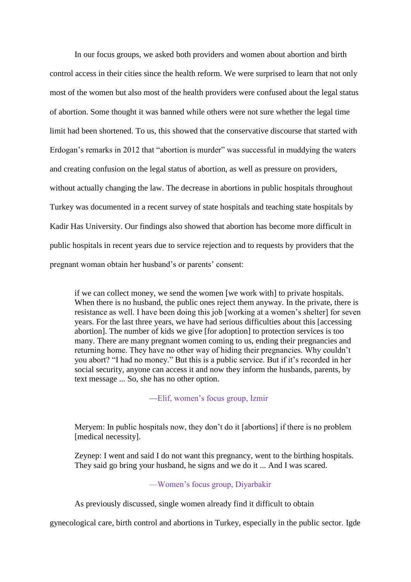In our focus groups, we asked both providers and women about abortion and birth control access in their cities since the health reform. We were surprised to learn that not only most of the women but also most of the health providers were confused about the legal status of abortion. Some thought it was banned while others were not sure whether the legal time limit had been shortened. To us, this showed that the conservative discourse that started with Erdogan's remarks in 2012 that "abortion is murder" was successful in muddying the waters and creating confusion on the legal status of abortion, as well as pressure on providers, without actually changing the law. The decrease in abortions in public hospitals throughout Turkey was documented in a recent survey of state hospitals and teaching state hospitals by Kadir Has University. Our findings also showed that abortion has become more difficult in public hospitals in recent years due to service rejection and to requests by providers that the pregnant woman obtain her husband's or parents' consent:

if we can collect money, we send the women [we work with] to private hospitals. When there is no husband, the public ones reject them anyway. In the private, there is resistance as well. I have been doing this job [working at a women's shelter] for seven years. For the last three years, we have had serious difficulties about this [accessing abortion]. The number of kids we give [for adoption] to protection services is too many. There are many pregnant women coming to us, ending their pregnancies and returning home. They have no other way of hiding their pregnancies. Why couldn't you abort? "I had no money." But this is a public service. But if it's recorded in her social security, anyone can access it and now they inform the husbands, parents, by text message ... So, she has no other option.

# —Elif, women's focus group, Izmir

Meryem: In public hospitals now, they don't do it [abortions] if there is no problem [medical necessity].

Zeynep: I went and said I do not want this pregnancy, went to the birthing hospitals. They said go bring your husband, he signs and we do it ... And I was scared.

# —Women's focus group, Diyarbakir

As previously discussed, single women already find it difficult to obtain

gynecological care, birth control and abortions in Turkey, especially in the public sector. Igde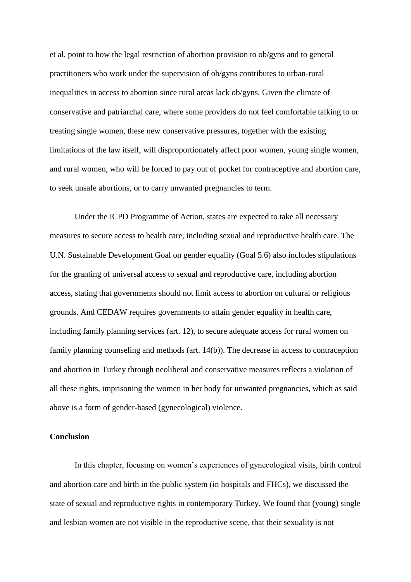et al. point to how the legal restriction of abortion provision to ob/gyns and to general practitioners who work under the supervision of ob/gyns contributes to urban-rural inequalities in access to abortion since rural areas lack ob/gyns. Given the climate of conservative and patriarchal care, where some providers do not feel comfortable talking to or treating single women, these new conservative pressures, together with the existing limitations of the law itself, will disproportionately affect poor women, young single women, and rural women, who will be forced to pay out of pocket for contraceptive and abortion care, to seek unsafe abortions, or to carry unwanted pregnancies to term.

Under the ICPD Programme of Action, states are expected to take all necessary measures to secure access to health care, including sexual and reproductive health care. The U.N. Sustainable Development Goal on gender equality (Goal 5.6) also includes stipulations for the granting of universal access to sexual and reproductive care, including abortion access, stating that governments should not limit access to abortion on cultural or religious grounds. And CEDAW requires governments to attain gender equality in health care, including family planning services (art. 12), to secure adequate access for rural women on family planning counseling and methods (art. 14(b)). The decrease in access to contraception and abortion in Turkey through neoliberal and conservative measures reflects a violation of all these rights, imprisoning the women in her body for unwanted pregnancies, which as said above is a form of gender-based (gynecological) violence.

#### **Conclusion**

In this chapter, focusing on women's experiences of gynecological visits, birth control and abortion care and birth in the public system (in hospitals and FHCs), we discussed the state of sexual and reproductive rights in contemporary Turkey. We found that (young) single and lesbian women are not visible in the reproductive scene, that their sexuality is not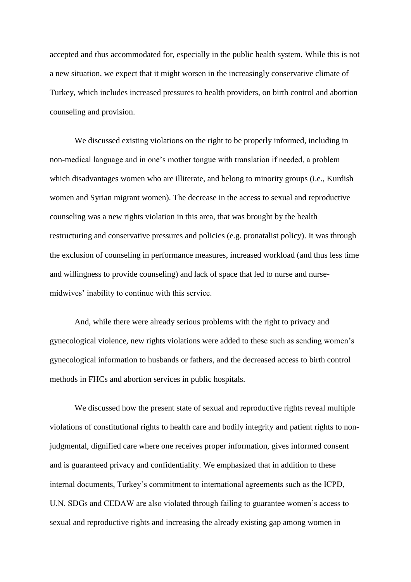accepted and thus accommodated for, especially in the public health system. While this is not a new situation, we expect that it might worsen in the increasingly conservative climate of Turkey, which includes increased pressures to health providers, on birth control and abortion counseling and provision.

We discussed existing violations on the right to be properly informed, including in non-medical language and in one's mother tongue with translation if needed, a problem which disadvantages women who are illiterate, and belong to minority groups (i.e., Kurdish women and Syrian migrant women). The decrease in the access to sexual and reproductive counseling was a new rights violation in this area, that was brought by the health restructuring and conservative pressures and policies (e.g. pronatalist policy). It was through the exclusion of counseling in performance measures, increased workload (and thus less time and willingness to provide counseling) and lack of space that led to nurse and nursemidwives' inability to continue with this service.

And, while there were already serious problems with the right to privacy and gynecological violence, new rights violations were added to these such as sending women's gynecological information to husbands or fathers, and the decreased access to birth control methods in FHCs and abortion services in public hospitals.

We discussed how the present state of sexual and reproductive rights reveal multiple violations of constitutional rights to health care and bodily integrity and patient rights to nonjudgmental, dignified care where one receives proper information, gives informed consent and is guaranteed privacy and confidentiality. We emphasized that in addition to these internal documents, Turkey's commitment to international agreements such as the ICPD, U.N. SDGs and CEDAW are also violated through failing to guarantee women's access to sexual and reproductive rights and increasing the already existing gap among women in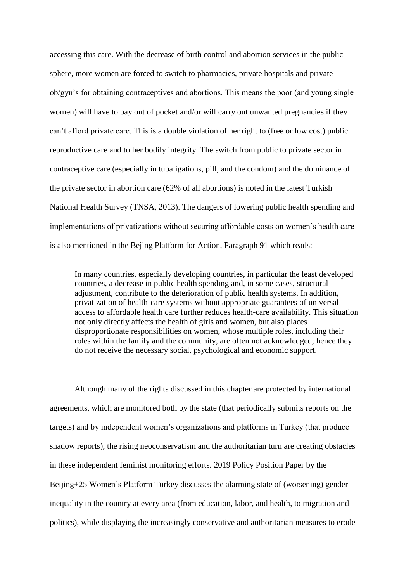accessing this care. With the decrease of birth control and abortion services in the public sphere, more women are forced to switch to pharmacies, private hospitals and private ob/gyn's for obtaining contraceptives and abortions. This means the poor (and young single women) will have to pay out of pocket and/or will carry out unwanted pregnancies if they can't afford private care. This is a double violation of her right to (free or low cost) public reproductive care and to her bodily integrity. The switch from public to private sector in contraceptive care (especially in tubaligations, pill, and the condom) and the dominance of the private sector in abortion care (62% of all abortions) is noted in the latest Turkish National Health Survey (TNSA, 2013). The dangers of lowering public health spending and implementations of privatizations without securing affordable costs on women's health care is also mentioned in the Bejing Platform for Action, Paragraph 91 which reads:

In many countries, especially developing countries, in particular the least developed countries, a decrease in public health spending and, in some cases, structural adjustment, contribute to the deterioration of public health systems. In addition, privatization of health-care systems without appropriate guarantees of universal access to affordable health care further reduces health-care availability. This situation not only directly affects the health of girls and women, but also places disproportionate responsibilities on women, whose multiple roles, including their roles within the family and the community, are often not acknowledged; hence they do not receive the necessary social, psychological and economic support.

Although many of the rights discussed in this chapter are protected by international agreements, which are monitored both by the state (that periodically submits reports on the targets) and by independent women's organizations and platforms in Turkey (that produce shadow reports), the rising neoconservatism and the authoritarian turn are creating obstacles in these independent feminist monitoring efforts. 2019 Policy Position Paper by the Beijing+25 Women's Platform Turkey discusses the alarming state of (worsening) gender inequality in the country at every area (from education, labor, and health, to migration and politics), while displaying the increasingly conservative and authoritarian measures to erode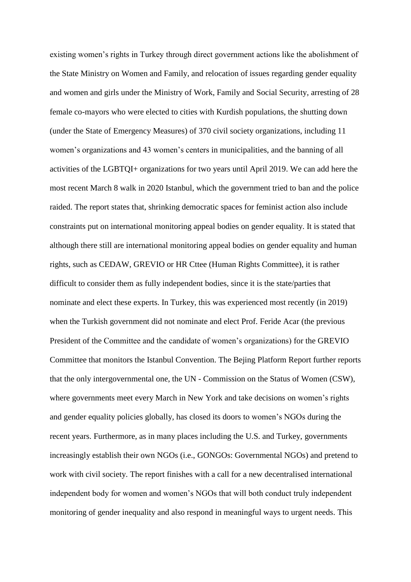existing women's rights in Turkey through direct government actions like the abolishment of the State Ministry on Women and Family, and relocation of issues regarding gender equality and women and girls under the Ministry of Work, Family and Social Security, arresting of 28 female co-mayors who were elected to cities with Kurdish populations, the shutting down (under the State of Emergency Measures) of 370 civil society organizations, including 11 women's organizations and 43 women's centers in municipalities, and the banning of all activities of the LGBTQI+ organizations for two years until April 2019. We can add here the most recent March 8 walk in 2020 Istanbul, which the government tried to ban and the police raided. The report states that, shrinking democratic spaces for feminist action also include constraints put on international monitoring appeal bodies on gender equality. It is stated that although there still are international monitoring appeal bodies on gender equality and human rights, such as CEDAW, GREVIO or HR Cttee (Human Rights Committee), it is rather difficult to consider them as fully independent bodies, since it is the state/parties that nominate and elect these experts. In Turkey, this was experienced most recently (in 2019) when the Turkish government did not nominate and elect Prof. Feride Acar (the previous President of the Committee and the candidate of women's organizations) for the GREVIO Committee that monitors the Istanbul Convention. The Bejing Platform Report further reports that the only intergovernmental one, the UN - Commission on the Status of Women (CSW), where governments meet every March in New York and take decisions on women's rights and gender equality policies globally, has closed its doors to women's NGOs during the recent years. Furthermore, as in many places including the U.S. and Turkey, governments increasingly establish their own NGOs (i.e., GONGOs: Governmental NGOs) and pretend to work with civil society. The report finishes with a call for a new decentralised international independent body for women and women's NGOs that will both conduct truly independent monitoring of gender inequality and also respond in meaningful ways to urgent needs. This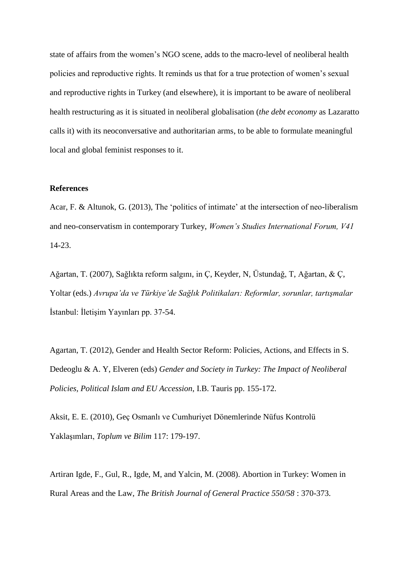state of affairs from the women's NGO scene, adds to the macro-level of neoliberal health policies and reproductive rights. It reminds us that for a true protection of women's sexual and reproductive rights in Turkey (and elsewhere), it is important to be aware of neoliberal health restructuring as it is situated in neoliberal globalisation (*the debt economy* as Lazaratto calls it) with its neoconversative and authoritarian arms, to be able to formulate meaningful local and global feminist responses to it.

## **References**

Acar, F. & Altunok, G. (2013), The 'politics of intimate' at the intersection of neo-liberalism and neo-conservatism in contemporary Turkey, *Women's Studies International Forum, V41*  14-23.

Ağartan, T. (2007), Sağlıkta reform salgını, in Ç, Keyder, N, Üstundağ, T, Ağartan, & Ç, Yoltar (eds.) *Avrupa'da ve Türkiye'de Sağlık Politikaları: Reformlar, sorunlar, tartışmalar*  İstanbul: İletişim Yayınları pp. 37-54.

Agartan, T. (2012), Gender and Health Sector Reform: Policies, Actions, and Effects in S. Dedeoglu & A. Y, Elveren (eds) *Gender and Society in Turkey: The Impact of Neoliberal Policies, Political Islam and EU Accession*, I.B. Tauris pp. 155-172.

Aksit, E. E. (2010), Geç Osmanlı ve Cumhuriyet Dönemlerinde Nüfus Kontrolü Yaklaşımları, *Toplum ve Bilim* 117: 179-197.

Artiran Igde, F., Gul, R., Igde, M, and Yalcin, M. (2008). Abortion in Turkey: Women in Rural Areas and the Law, *The British Journal of General Practice 550/58* : 370-373.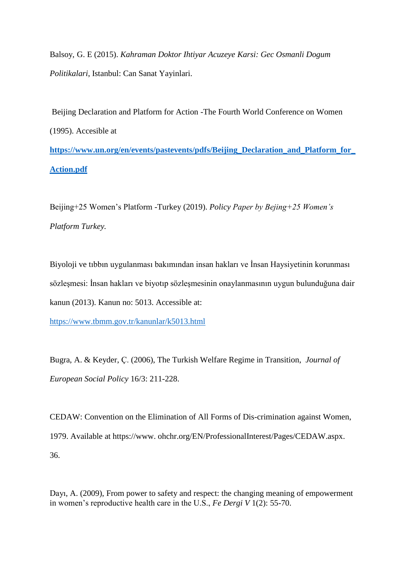Balsoy, G. E (2015). *Kahraman Doktor Ihtiyar Acuzeye Karsi: Gec Osmanli Dogum Politikalari*, Istanbul: Can Sanat Yayinlari.

Beijing Declaration and Platform for Action -The Fourth World Conference on Women (1995). Accesible at **[https://www.un.org/en/events/pastevents/pdfs/Beijing\\_Declaration\\_and\\_Platform\\_for\\_](https://www.un.org/en/events/pastevents/pdfs/Beijing_Declaration_and_Platform_for_Action.pdf) [Action.pdf](https://www.un.org/en/events/pastevents/pdfs/Beijing_Declaration_and_Platform_for_Action.pdf)**

Beijing+25 Women's Platform -Turkey (2019). *Policy Paper by Bejing+25 Women's Platform Turkey.*

Biyoloji ve tıbbın uygulanması bakımından insan hakları ve İnsan Haysiyetinin korunması sözleşmesi: İnsan hakları ve biyotıp sözleşmesinin onaylanmasının uygun bulunduğuna dair kanun (2013). Kanun no: 5013. Accessible at:

<https://www.tbmm.gov.tr/kanunlar/k5013.html>

Bugra, A. & Keyder, Ç. (2006), The Turkish Welfare Regime in Transition, *Journal of European Social Policy* 16/3: 211-228.

CEDAW: Convention on the Elimination of All Forms of Dis-crimination against Women, 1979. Available at https://www. ohchr.org/EN/ProfessionalInterest/Pages/CEDAW.aspx. 36.

Dayı, A. (2009), From power to safety and respect: the changing meaning of empowerment in women's reproductive health care in the U.S., *Fe Dergi V* 1(2): 55-70.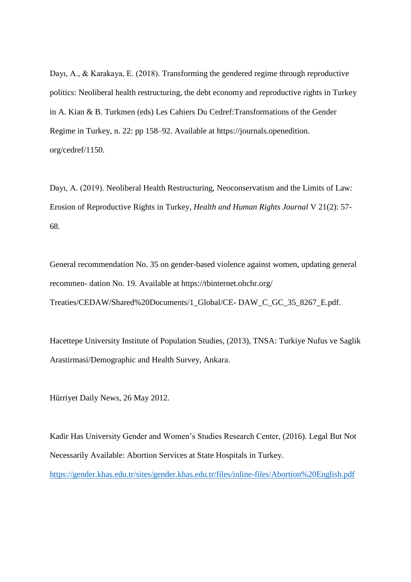Dayı, A., & Karakaya, E. (2018). Transforming the gendered regime through reproductive politics: Neoliberal health restructuring, the debt economy and reproductive rights in Turkey in A. Kian & B. Turkmen (eds) Les Cahiers Du Cedref:Transformations of the Gender Regime in Turkey, n. 22: pp 158–92. Available at https://journals.openedition. org/cedref/1150.

Dayı, A. (2019). Neoliberal Health Restructuring, Neoconservatism and the Limits of Law: Erosion of Reproductive Rights in Turkey, *Health and Human Rights Journal* V 21(2): 57- 68.

General recommendation No. 35 on gender-based violence against women, updating general recommen- dation No. 19. Available at https://tbinternet.ohchr.org/ Treaties/CEDAW/Shared%20Documents/1\_Global/CE- DAW\_C\_GC\_35\_8267\_E.pdf.

Hacettepe University Institute of Population Studies, (2013), TNSA: Turkiye Nufus ve Saglik Arastirmasi/Demographic and Health Survey, Ankara.

Hürriyet Daily News, 26 May 2012.

Kadir Has University Gender and Women's Studies Research Center, (2016). Legal But Not Necessarily Available: Abortion Services at State Hospitals in Turkey.

<https://gender.khas.edu.tr/sites/gender.khas.edu.tr/files/inline-files/Abortion%20English.pdf>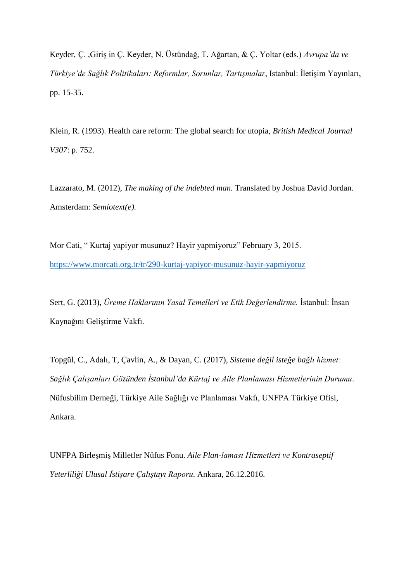Keyder, Ç. ,Giriş in Ç. Keyder, N. Üstündağ, T. Ağartan, & Ç. Yoltar (eds.) *Avrupa'da ve Türkiye'de Sağlık Politikaları: Reformlar, Sorunlar, Tartışmalar*, Istanbul: İletişim Yayınları, pp. 15-35.

Klein, R. (1993). Health care reform: The global search for utopia, *British Medical Journal V307*: p. 752.

Lazzarato, M. (2012), *The making of the indebted man.* Translated by Joshua David Jordan. Amsterdam: *Semiotext(e).* 

Mor Cati, " Kurtaj yapiyor musunuz? Hayir yapmiyoruz" February 3, 2015. <https://www.morcati.org.tr/tr/290-kurtaj-yapiyor-musunuz-hayir-yapmiyoruz>

Sert, G. (2013), *Üreme Haklarının Yasal Temelleri ve Etik Değerlendirme.* İstanbul: İnsan Kaynağını Geliştirme Vakfı.

Topgül, C., Adalı, T, Çavlin, A., & Dayan, C. (2017), *Sisteme değil isteğe bağlı hizmet: Sağlık Çalışanları Gözünden İstanbul'da Kürtaj ve Aile Planlaması Hizmetlerinin Durumu*. Nüfusbilim Derneği, Türkiye Aile Sağlığı ve Planlaması Vakfı, UNFPA Türkiye Ofisi, Ankara.

UNFPA Birleşmiş Milletler Nüfus Fonu. *Aile Plan-laması Hizmetleri ve Kontraseptif Yeterliliği Ulusal İstişare Çalıştayı Raporu*. Ankara, 26.12.2016.